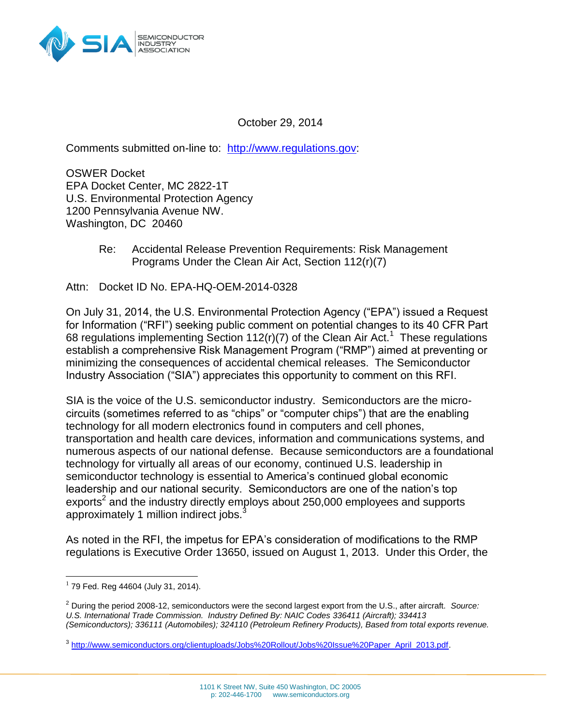

October 29, 2014

Comments submitted on-line to: [http://www.regulations.gov:](http://www.regulations.gov/)

OSWER Docket EPA Docket Center, MC 2822-1T U.S. Environmental Protection Agency 1200 Pennsylvania Avenue NW. Washington, DC 20460

> Re: Accidental Release Prevention Requirements: Risk Management Programs Under the Clean Air Act, Section 112(r)(7)

Attn: Docket ID No. EPA-HQ-OEM-2014-0328

On July 31, 2014, the U.S. Environmental Protection Agency ("EPA") issued a Request for Information ("RFI") seeking public comment on potential changes to its 40 CFR Part 68 regulations implementing Section 112(r)(7) of the Clean Air Act.<sup>1</sup> These regulations establish a comprehensive Risk Management Program ("RMP") aimed at preventing or minimizing the consequences of accidental chemical releases. The Semiconductor Industry Association ("SIA") appreciates this opportunity to comment on this RFI.

SIA is the voice of the U.S. semiconductor industry. Semiconductors are the microcircuits (sometimes referred to as "chips" or "computer chips") that are the enabling technology for all modern electronics found in computers and cell phones, transportation and health care devices, information and communications systems, and numerous aspects of our national defense. Because semiconductors are a foundational technology for virtually all areas of our economy, continued U.S. leadership in semiconductor technology is essential to America's continued global economic leadership and our national security. Semiconductors are one of the nation's top exports<sup>2</sup> and the industry directly employs about 250,000 employees and supports approximately 1 million indirect jobs.<sup>3</sup>

As noted in the RFI, the impetus for EPA's consideration of modifications to the RMP regulations is Executive Order 13650, issued on August 1, 2013. Under this Order, the

 $\overline{\phantom{a}}$ 

 $1$  79 Fed. Reg 44604 (July 31, 2014).

<sup>2</sup> During the period 2008-12, semiconductors were the second largest export from the U.S., after aircraft. *Source: U.S. International Trade Commission. Industry Defined By: NAIC Codes 336411 (Aircraft); 334413 (Semiconductors); 336111 (Automobiles); 324110 (Petroleum Refinery Products), Based from total exports revenue.*

<sup>&</sup>lt;sup>3</sup> [http://www.semiconductors.org/clientuploads/Jobs%20Rollout/Jobs%20Issue%20Paper\\_April\\_2013.pdf.](http://www.semiconductors.org/clientuploads/Jobs%20Rollout/Jobs%20Issue%20Paper_April_2013.pdf)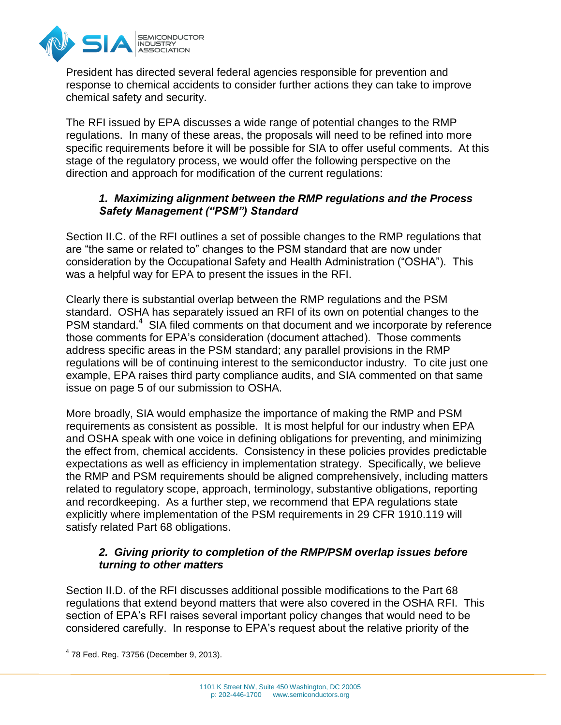

President has directed several federal agencies responsible for prevention and response to chemical accidents to consider further actions they can take to improve chemical safety and security.

The RFI issued by EPA discusses a wide range of potential changes to the RMP regulations. In many of these areas, the proposals will need to be refined into more specific requirements before it will be possible for SIA to offer useful comments. At this stage of the regulatory process, we would offer the following perspective on the direction and approach for modification of the current regulations:

## *1. Maximizing alignment between the RMP regulations and the Process Safety Management ("PSM") Standard*

Section II.C. of the RFI outlines a set of possible changes to the RMP regulations that are "the same or related to" changes to the PSM standard that are now under consideration by the Occupational Safety and Health Administration ("OSHA"). This was a helpful way for EPA to present the issues in the RFI.

Clearly there is substantial overlap between the RMP regulations and the PSM standard. OSHA has separately issued an RFI of its own on potential changes to the PSM standard.<sup>4</sup> SIA filed comments on that document and we incorporate by reference those comments for EPA's consideration (document attached). Those comments address specific areas in the PSM standard; any parallel provisions in the RMP regulations will be of continuing interest to the semiconductor industry. To cite just one example, EPA raises third party compliance audits, and SIA commented on that same issue on page 5 of our submission to OSHA.

More broadly, SIA would emphasize the importance of making the RMP and PSM requirements as consistent as possible. It is most helpful for our industry when EPA and OSHA speak with one voice in defining obligations for preventing, and minimizing the effect from, chemical accidents. Consistency in these policies provides predictable expectations as well as efficiency in implementation strategy. Specifically, we believe the RMP and PSM requirements should be aligned comprehensively, including matters related to regulatory scope, approach, terminology, substantive obligations, reporting and recordkeeping. As a further step, we recommend that EPA regulations state explicitly where implementation of the PSM requirements in 29 CFR 1910.119 will satisfy related Part 68 obligations.

## *2. Giving priority to completion of the RMP/PSM overlap issues before turning to other matters*

Section II.D. of the RFI discusses additional possible modifications to the Part 68 regulations that extend beyond matters that were also covered in the OSHA RFI. This section of EPA's RFI raises several important policy changes that would need to be considered carefully. In response to EPA's request about the relative priority of the

 4 78 Fed. Reg. 73756 (December 9, 2013).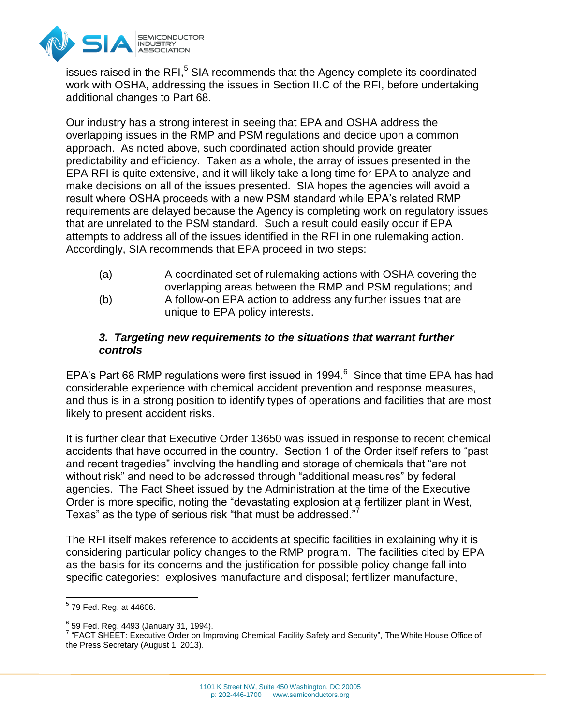

issues raised in the RFI,<sup>5</sup> SIA recommends that the Agency complete its coordinated work with OSHA, addressing the issues in Section II.C of the RFI, before undertaking additional changes to Part 68.

Our industry has a strong interest in seeing that EPA and OSHA address the overlapping issues in the RMP and PSM regulations and decide upon a common approach. As noted above, such coordinated action should provide greater predictability and efficiency. Taken as a whole, the array of issues presented in the EPA RFI is quite extensive, and it will likely take a long time for EPA to analyze and make decisions on all of the issues presented. SIA hopes the agencies will avoid a result where OSHA proceeds with a new PSM standard while EPA's related RMP requirements are delayed because the Agency is completing work on regulatory issues that are unrelated to the PSM standard. Such a result could easily occur if EPA attempts to address all of the issues identified in the RFI in one rulemaking action. Accordingly, SIA recommends that EPA proceed in two steps:

- (a) A coordinated set of rulemaking actions with OSHA covering the overlapping areas between the RMP and PSM regulations; and (b) A follow-on EPA action to address any further issues that are
- unique to EPA policy interests.

## *3. Targeting new requirements to the situations that warrant further controls*

EPA's Part 68 RMP regulations were first issued in 1994. $6$  Since that time EPA has had considerable experience with chemical accident prevention and response measures, and thus is in a strong position to identify types of operations and facilities that are most likely to present accident risks.

It is further clear that Executive Order 13650 was issued in response to recent chemical accidents that have occurred in the country. Section 1 of the Order itself refers to "past and recent tragedies" involving the handling and storage of chemicals that "are not without risk" and need to be addressed through "additional measures" by federal agencies. The Fact Sheet issued by the Administration at the time of the Executive Order is more specific, noting the "devastating explosion at a fertilizer plant in West, Texas" as the type of serious risk "that must be addressed."<sup>7</sup>

The RFI itself makes reference to accidents at specific facilities in explaining why it is considering particular policy changes to the RMP program. The facilities cited by EPA as the basis for its concerns and the justification for possible policy change fall into specific categories: explosives manufacture and disposal; fertilizer manufacture,

 5 79 Fed. Reg. at 44606.

<sup>6</sup> 59 Fed. Reg. 4493 (January 31, 1994).

<sup>&</sup>lt;sup>7</sup> "FACT SHEET: Executive Order on Improving Chemical Facility Safety and Security", The White House Office of the Press Secretary (August 1, 2013).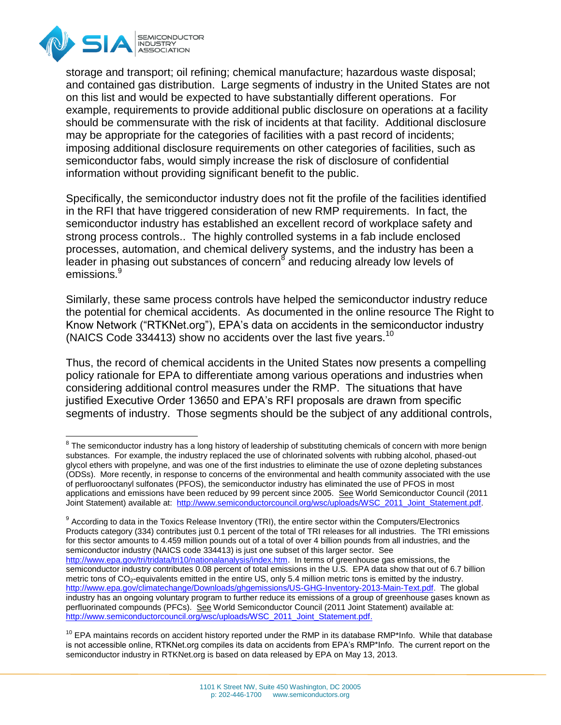

storage and transport; oil refining; chemical manufacture; hazardous waste disposal; and contained gas distribution. Large segments of industry in the United States are not on this list and would be expected to have substantially different operations. For example, requirements to provide additional public disclosure on operations at a facility should be commensurate with the risk of incidents at that facility. Additional disclosure may be appropriate for the categories of facilities with a past record of incidents; imposing additional disclosure requirements on other categories of facilities, such as semiconductor fabs, would simply increase the risk of disclosure of confidential information without providing significant benefit to the public.

Specifically, the semiconductor industry does not fit the profile of the facilities identified in the RFI that have triggered consideration of new RMP requirements. In fact, the semiconductor industry has established an excellent record of workplace safety and strong process controls.. The highly controlled systems in a fab include enclosed processes, automation, and chemical delivery systems, and the industry has been a leader in phasing out substances of concern<sup>8</sup> and reducing already low levels of emissions.<sup>9</sup>

Similarly, these same process controls have helped the semiconductor industry reduce the potential for chemical accidents. As documented in the online resource The Right to Know Network ("RTKNet.org"), EPA's data on accidents in the semiconductor industry (NAICS Code 334413) show no accidents over the last five years.<sup>10</sup>

Thus, the record of chemical accidents in the United States now presents a compelling policy rationale for EPA to differentiate among various operations and industries when considering additional control measures under the RMP. The situations that have justified Executive Order 13650 and EPA's RFI proposals are drawn from specific segments of industry. Those segments should be the subject of any additional controls,

 $\overline{\phantom{a}}$  $8$  The semiconductor industry has a long history of leadership of substituting chemicals of concern with more benign substances. For example, the industry replaced the use of chlorinated solvents with rubbing alcohol, phased-out glycol ethers with propelyne, and was one of the first industries to eliminate the use of ozone depleting substances (ODSs). More recently, in response to concerns of the environmental and health community associated with the use of perfluorooctanyl sulfonates (PFOS), the semiconductor industry has eliminated the use of PFOS in most applications and emissions have been reduced by 99 percent since 2005. See World Semiconductor Council (2011 Joint Statement) available at: [http://www.semiconductorcouncil.org/wsc/uploads/WSC\\_2011\\_Joint\\_Statement.pdf.](http://www.semiconductorcouncil.org/wsc/uploads/WSC_2011_Joint_Statement.pdf)

 $^9$  According to data in the Toxics Release Inventory (TRI), the entire sector within the Computers/Electronics Products category (334) contributes just 0.1 percent of the total of TRI releases for all industries. The TRI emissions for this sector amounts to 4.459 million pounds out of a total of over 4 billion pounds from all industries, and the semiconductor industry (NAICS code 334413) is just one subset of this larger sector. See [http://www.epa.gov/tri/tridata/tri10/nationalanalysis/index.htm.](http://www.epa.gov/tri/tridata/tri10/nationalanalysis/index.htm) In terms of greenhouse gas emissions, the semiconductor industry contributes 0.08 percent of total emissions in the U.S. EPA data show that out of 6.7 billion metric tons of CO<sub>2</sub>-equivalents emitted in the entire US, only 5.4 million metric tons is emitted by the industry. [http://www.epa.gov/climatechange/Downloads/ghgemissions/US-GHG-Inventory-2013-Main-Text.pdf.](http://www.epa.gov/climatechange/Downloads/ghgemissions/US-GHG-Inventory-2013-Main-Text.pdf) The global industry has an ongoing voluntary program to further reduce its emissions of a group of greenhouse gases known as perfluorinated compounds (PFCs). See World Semiconductor Council (2011 Joint Statement) available at: [http://www.semiconductorcouncil.org/wsc/uploads/WSC\\_2011\\_Joint\\_Statement.pdf.](http://www.semiconductorcouncil.org/wsc/uploads/WSC_2011_Joint_Statement.pdf)

 $10$  EPA maintains records on accident history reported under the RMP in its database RMP\*Info. While that database is not accessible online, RTKNet.org compiles its data on accidents from EPA's RMP\*Info. The current report on the semiconductor industry in RTKNet.org is based on data released by EPA on May 13, 2013.